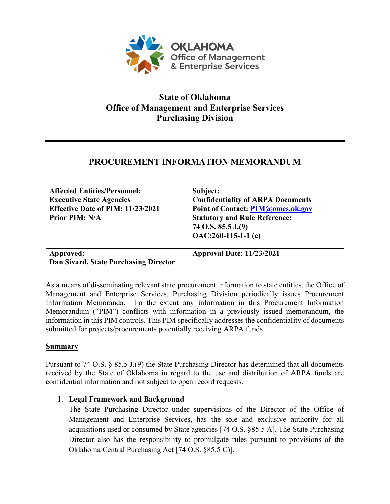

## **State of Oklahoma Office of Management and Enterprise Services Purchasing Division**

# **PROCUREMENT INFORMATION MEMORANDUM**

| <b>Affected Entities/Personnel:</b><br><b>Executive State Agencies</b> | Subject:<br><b>Confidentiality of ARPA Documents</b>                                                                            |
|------------------------------------------------------------------------|---------------------------------------------------------------------------------------------------------------------------------|
| Effective Date of PIM: 11/23/2021<br><b>Prior PIM: N/A</b>             | <b>Point of Contact: PIM@omes.ok.gov</b><br><b>Statutory and Rule Reference:</b><br>74 O.S. 85.5 J.(9)<br>$OAC:260-115-1-1$ (c) |
| Approved:<br>Dan Sivard, State Purchasing Director                     | <b>Approval Date: 11/23/2021</b>                                                                                                |

As a means of disseminating relevant state procurement information to state entities, the Office of Management and Enterprise Services, Purchasing Division periodically issues Procurement Information Memoranda. To the extent any information in this Procurement Information Memorandum ("PIM") conflicts with information in a previously issued memorandum, the information in this PIM controls. This PIM specifically addresses the confidentiality of documents submitted for projects/procurements potentially receiving ARPA funds.

### **Summary**

Pursuant to 74 O.S. § 85.5 J.(9) the State Purchasing Director has determined that all documents received by the State of Oklahoma in regard to the use and distribution of ARPA funds are confidential information and not subject to open record requests.

## 1. **Legal Framework and Background**

The State Purchasing Director under supervisions of the Director of the Office of Management and Enterprise Services, has the sole and exclusive authority for all acquisitions used or consumed by State agencies [74 O.S. §85.5 A]. The State Purchasing Director also has the responsibility to promulgate rules pursuant to provisions of the Oklahoma Central Purchasing Act [74 O.S. §85.5 C)].